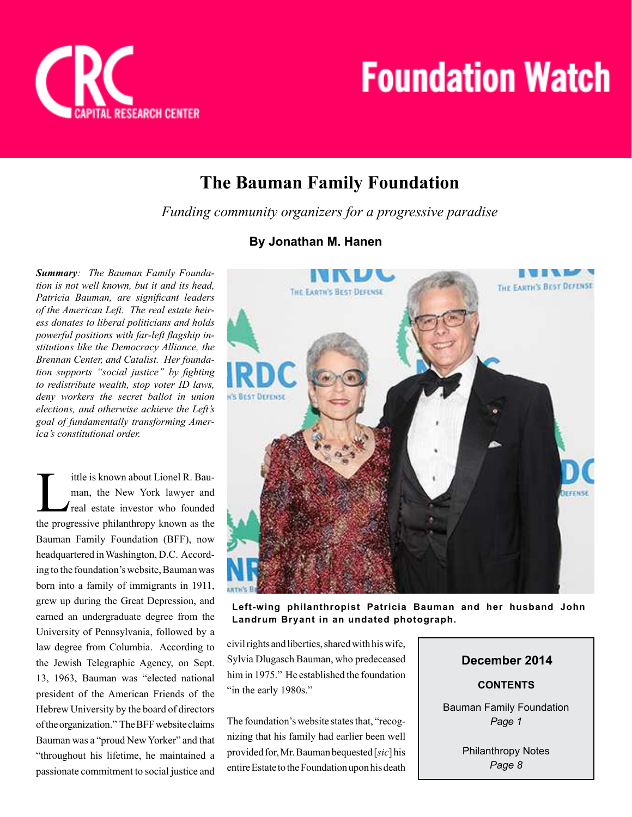

## **The Bauman Family Foundation**

*Funding community organizers for a progressive paradise* 

## **By Jonathan M. Hanen**

*Summary: The Bauman Family Foundation is not well known, but it and its head, Patricia Bauman, are significant leaders of the American Left. The real estate heiress donates to liberal politicians and holds powerful positions with far-left flagship institutions like the Democracy Alliance, the Brennan Center, and Catalist. Her foundation supports "social justice" by fighting to redistribute wealth, stop voter ID laws, deny workers the secret ballot in union elections, and otherwise achieve the Left's goal of fundamentally transforming America's constitutional order.*

ittle is known about Lionel R. Bauman, the New York lawyer and<br>real estate investor who founded<br>the progressive philanthropy known as the ittle is known about Lionel R. Bauman, the New York lawyer and real estate investor who founded Bauman Family Foundation (BFF), now headquartered in Washington, D.C. According to the foundation's website, Bauman was born into a family of immigrants in 1911, grew up during the Great Depression, and earned an undergraduate degree from the University of Pennsylvania, followed by a law degree from Columbia. According to the Jewish Telegraphic Agency, on Sept. 13, 1963, Bauman was "elected national president of the American Friends of the Hebrew University by the board of directors of the organization." The BFF website claims Bauman was a "proud New Yorker" and that "throughout his lifetime, he maintained a passionate commitment to social justice and



**Left-wing philanthropist Patricia Bauman and her husband John Landrum Bryant in an undated photograph.**

civil rights and liberties, shared with his wife, Sylvia Dlugasch Bauman, who predeceased him in 1975." He established the foundation "in the early 1980s."

The foundation's website states that, "recognizing that his family had earlier been well provided for, Mr. Bauman bequested [*sic*] his entire Estate to the Foundation upon his death

## **CONTENTS December 2014** Bauman Family Foundation *Page 1*

Philanthropy Notes *Page 8*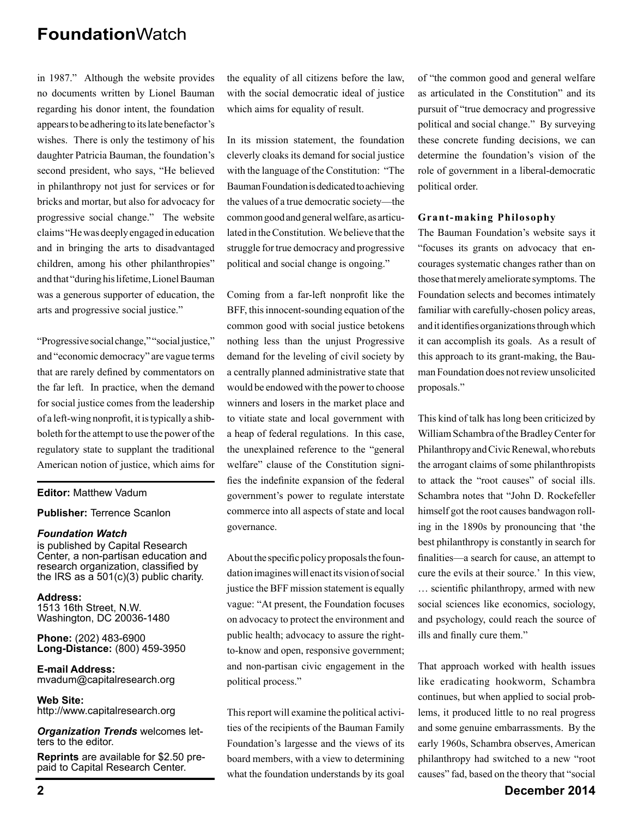in 1987." Although the website provides no documents written by Lionel Bauman regarding his donor intent, the foundation appears to be adhering to its late benefactor's wishes. There is only the testimony of his daughter Patricia Bauman, the foundation's second president, who says, "He believed in philanthropy not just for services or for bricks and mortar, but also for advocacy for progressive social change." The website claims "He was deeply engaged in education and in bringing the arts to disadvantaged children, among his other philanthropies" and that "during his lifetime, Lionel Bauman was a generous supporter of education, the arts and progressive social justice."

"Progressive social change," "social justice," and "economic democracy" are vague terms that are rarely defined by commentators on the far left. In practice, when the demand for social justice comes from the leadership of a left-wing nonprofit, it is typically a shibboleth for the attempt to use the power of the regulatory state to supplant the traditional American notion of justice, which aims for

#### **Editor:** Matthew Vadum

#### **Publisher:** Terrence Scanlon

#### *Foundation Watch*

is published by Capital Research Center, a non-partisan education and research organization, classified by the IRS as a 501(c)(3) public charity.

**Address:** 1513 16th Street, N.W. Washington, DC 20036-1480

**Phone:** (202) 483-6900 **Long-Distance:** (800) 459-3950

**E-mail Address:** mvadum@capitalresearch.org

**Web Site:** http://www.capitalresearch.org

*Organization Trends* welcomes letters to the editor.

**Reprints** are available for \$2.50 prepaid to Capital Research Center.

the equality of all citizens before the law, with the social democratic ideal of justice which aims for equality of result.

In its mission statement, the foundation cleverly cloaks its demand for social justice with the language of the Constitution: "The Bauman Foundation is dedicated to achieving the values of a true democratic society—the common good and general welfare, as articulated in the Constitution. We believe that the struggle for true democracy and progressive political and social change is ongoing."

Coming from a far-left nonprofit like the BFF, this innocent-sounding equation of the common good with social justice betokens nothing less than the unjust Progressive demand for the leveling of civil society by a centrally planned administrative state that would be endowed with the power to choose winners and losers in the market place and to vitiate state and local government with a heap of federal regulations. In this case, the unexplained reference to the "general welfare" clause of the Constitution signifies the indefinite expansion of the federal government's power to regulate interstate commerce into all aspects of state and local governance.

About the specific policy proposals the foundation imagines will enact its vision of social justice the BFF mission statement is equally vague: "At present, the Foundation focuses on advocacy to protect the environment and public health; advocacy to assure the rightto-know and open, responsive government; and non-partisan civic engagement in the political process."

This report will examine the political activities of the recipients of the Bauman Family Foundation's largesse and the views of its board members, with a view to determining what the foundation understands by its goal

of "the common good and general welfare as articulated in the Constitution" and its pursuit of "true democracy and progressive political and social change." By surveying these concrete funding decisions, we can determine the foundation's vision of the role of government in a liberal-democratic political order.

#### **Grant-making Philosophy**

The Bauman Foundation's website says it "focuses its grants on advocacy that encourages systematic changes rather than on those that merely ameliorate symptoms. The Foundation selects and becomes intimately familiar with carefully-chosen policy areas, and it identifies organizations through which it can accomplish its goals. As a result of this approach to its grant-making, the Bauman Foundation does not review unsolicited proposals."

This kind of talk has long been criticized by William Schambra of the Bradley Center for Philanthropy and Civic Renewal, who rebuts the arrogant claims of some philanthropists to attack the "root causes" of social ills. Schambra notes that "John D. Rockefeller himself got the root causes bandwagon rolling in the 1890s by pronouncing that 'the best philanthropy is constantly in search for finalities—a search for cause, an attempt to cure the evils at their source.' In this view, ... scientific philanthropy, armed with new social sciences like economics, sociology, and psychology, could reach the source of ills and finally cure them."

That approach worked with health issues like eradicating hookworm, Schambra continues, but when applied to social problems, it produced little to no real progress and some genuine embarrassments. By the early 1960s, Schambra observes, American philanthropy had switched to a new "root causes" fad, based on the theory that "social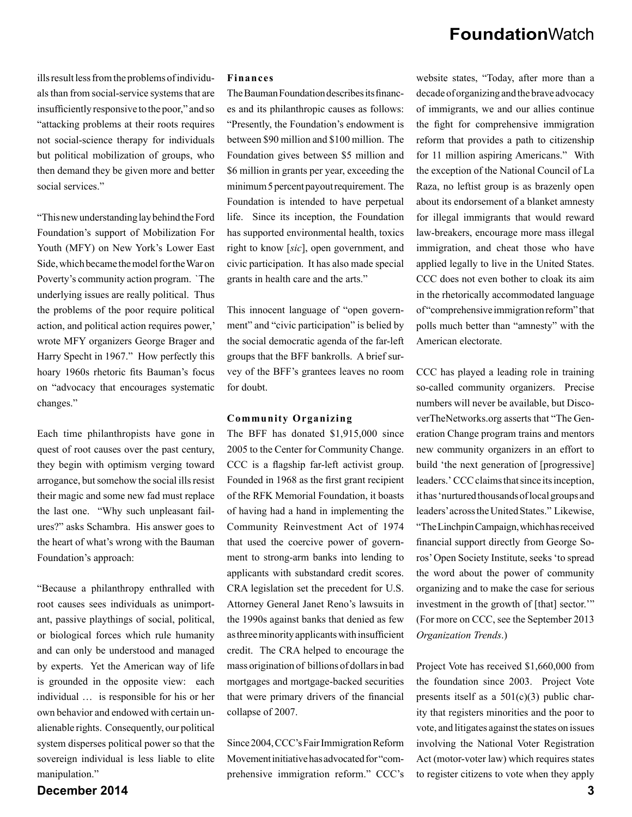ills result less from the problems of individuals than from social-service systems that are insufficiently responsive to the poor," and so "attacking problems at their roots requires not social-science therapy for individuals but political mobilization of groups, who then demand they be given more and better social services."

"This new understanding lay behind the Ford Foundation's support of Mobilization For Youth (MFY) on New York's Lower East Side, which became the model for the War on Poverty's community action program. `The underlying issues are really political. Thus the problems of the poor require political action, and political action requires power,' wrote MFY organizers George Brager and Harry Specht in 1967." How perfectly this hoary 1960s rhetoric fits Bauman's focus on "advocacy that encourages systematic changes."

Each time philanthropists have gone in quest of root causes over the past century, they begin with optimism verging toward arrogance, but somehow the social ills resist their magic and some new fad must replace the last one. "Why such unpleasant failures?" asks Schambra. His answer goes to the heart of what's wrong with the Bauman Foundation's approach:

"Because a philanthropy enthralled with root causes sees individuals as unimportant, passive playthings of social, political, or biological forces which rule humanity and can only be understood and managed by experts. Yet the American way of life is grounded in the opposite view: each individual … is responsible for his or her own behavior and endowed with certain unalienable rights. Consequently, our political system disperses political power so that the sovereign individual is less liable to elite manipulation."

#### **Finances**

The Bauman Foundation describes its finances and its philanthropic causes as follows: "Presently, the Foundation's endowment is between \$90 million and \$100 million. The Foundation gives between \$5 million and \$6 million in grants per year, exceeding the minimum 5 percent payout requirement. The Foundation is intended to have perpetual life. Since its inception, the Foundation has supported environmental health, toxics right to know [*sic*], open government, and civic participation. It has also made special grants in health care and the arts."

This innocent language of "open government" and "civic participation" is belied by the social democratic agenda of the far-left groups that the BFF bankrolls. A brief survey of the BFF's grantees leaves no room for doubt.

#### **Community Organizing**

The BFF has donated \$1,915,000 since 2005 to the Center for Community Change. CCC is a flagship far-left activist group. Founded in 1968 as the first grant recipient of the RFK Memorial Foundation, it boasts of having had a hand in implementing the Community Reinvestment Act of 1974 that used the coercive power of government to strong-arm banks into lending to applicants with substandard credit scores. CRA legislation set the precedent for U.S. Attorney General Janet Reno's lawsuits in the 1990s against banks that denied as few as three minority applicants with insufficient credit. The CRA helped to encourage the mass origination of billions of dollars in bad mortgages and mortgage-backed securities that were primary drivers of the financial collapse of 2007.

Since 2004, CCC's Fair Immigration Reform Movement initiative has advocated for "comprehensive immigration reform." CCC's

website states, "Today, after more than a decade of organizing and the brave advocacy of immigrants, we and our allies continue the fight for comprehensive immigration reform that provides a path to citizenship for 11 million aspiring Americans." With the exception of the National Council of La Raza, no leftist group is as brazenly open about its endorsement of a blanket amnesty for illegal immigrants that would reward law-breakers, encourage more mass illegal immigration, and cheat those who have applied legally to live in the United States. CCC does not even bother to cloak its aim in the rhetorically accommodated language of "comprehensive immigration reform" that polls much better than "amnesty" with the American electorate.

CCC has played a leading role in training so-called community organizers. Precise numbers will never be available, but DiscoverTheNetworks.org asserts that "The Generation Change program trains and mentors new community organizers in an effort to build 'the next generation of [progressive] leaders.' CCC claims that since its inception, it has 'nurtured thousandsof local groups and leaders' across the United States." Likewise, "TheLinchpin Campaign, which has received financial support directly from George Soros' Open Society Institute, seeks 'to spread the word about the power of community organizing and to make the case for serious investment in the growth of [that] sector.'" (For more on CCC, see the September 2013 *Organization Trends*.)

Project Vote has received \$1,660,000 from the foundation since 2003. Project Vote presents itself as a  $501(c)(3)$  public charity that registers minorities and the poor to vote, and litigates against the states on issues involving the National Voter Registration Act (motor-voter law) which requires states to register citizens to vote when they apply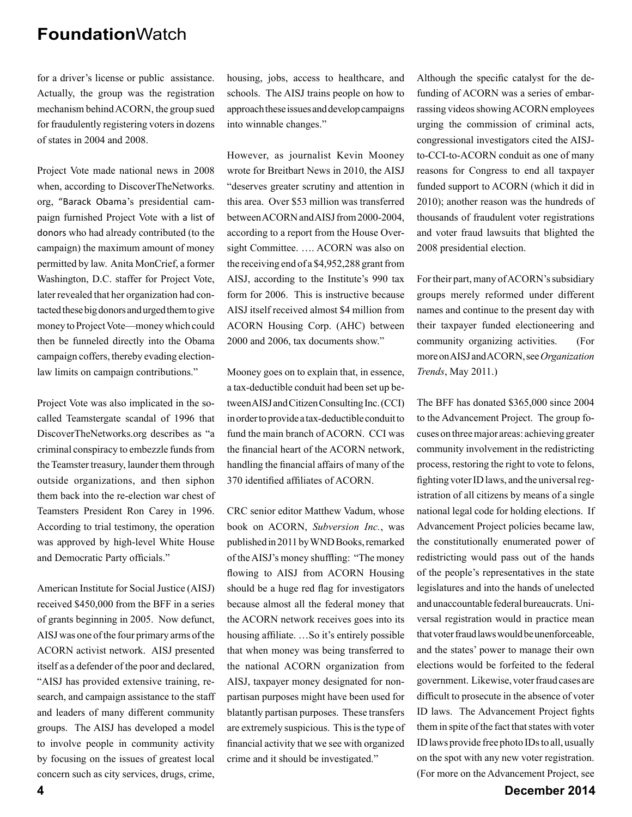for a driver's license or public assistance. Actually, the group was the registration mechanism behind ACORN, the group sued for fraudulently registering voters in dozens of states in 2004 and 2008.

Project Vote made national news in 2008 when, according to DiscoverTheNetworks. org, "Barack Obama's presidential campaign furnished Project Vote with a list of donors who had already contributed (to the campaign) the maximum amount of money permitted by law. Anita MonCrief, a former Washington, D.C. staffer for Project Vote, later revealed that her organization had contacted these big donors and urged them to give money to Project Vote—money which could then be funneled directly into the Obama campaign coffers, thereby evading electionlaw limits on campaign contributions."

Project Vote was also implicated in the socalled Teamstergate scandal of 1996 that DiscoverTheNetworks.org describes as "a criminal conspiracy to embezzle funds from the Teamster treasury, launder them through outside organizations, and then siphon them back into the re-election war chest of Teamsters President Ron Carey in 1996. According to trial testimony, the operation was approved by high-level White House and Democratic Party officials."

American Institute for Social Justice (AISJ) received \$450,000 from the BFF in a series of grants beginning in 2005. Now defunct, AISJ was one of the four primary arms of the ACORN activist network. AISJ presented itself as a defender of the poor and declared, "AISJ has provided extensive training, research, and campaign assistance to the staff and leaders of many different community groups. The AISJ has developed a model to involve people in community activity by focusing on the issues of greatest local concern such as city services, drugs, crime,

housing, jobs, access to healthcare, and schools. The AISJ trains people on how to approach these issues and develop campaigns into winnable changes."

However, as journalist Kevin Mooney wrote for Breitbart News in 2010, the AISJ "deserves greater scrutiny and attention in this area. Over \$53 million was transferred between ACORN and AISJ from 2000-2004, according to a report from the House Oversight Committee. …. ACORN was also on the receiving end of a \$4,952,288 grant from AISJ, according to the Institute's 990 tax form for 2006. This is instructive because AISJ itself received almost \$4 million from ACORN Housing Corp. (AHC) between 2000 and 2006, tax documents show."

Mooney goes on to explain that, in essence, a tax-deductible conduit had been set up between AISJ and Citizen Consulting Inc. (CCI) in order to provide a tax-deductible conduit to fund the main branch of ACORN. CCI was the financial heart of the ACORN network, handling the financial affairs of many of the 370 identified affiliates of ACORN.

CRC senior editor Matthew Vadum, whose book on ACORN, *Subversion Inc.*, was published in 2011 by WND Books, remarked of the AISJ's money shuffling: "The money" flowing to AISJ from ACORN Housing should be a huge red flag for investigators because almost all the federal money that the ACORN network receives goes into its housing affiliate. ...So it's entirely possible that when money was being transferred to the national ACORN organization from AISJ, taxpayer money designated for nonpartisan purposes might have been used for blatantly partisan purposes. These transfers are extremely suspicious. This is the type of financial activity that we see with organized crime and it should be investigated."

Although the specific catalyst for the defunding of ACORN was a series of embarrassing videos showing ACORN employees urging the commission of criminal acts, congressional investigators cited the AISJto-CCI-to-ACORN conduit as one of many reasons for Congress to end all taxpayer funded support to ACORN (which it did in 2010); another reason was the hundreds of thousands of fraudulent voter registrations and voter fraud lawsuits that blighted the 2008 presidential election.

For their part, many of ACORN's subsidiary groups merely reformed under different names and continue to the present day with their taxpayer funded electioneering and community organizing activities. (For more on AISJ and ACORN, see *Organization Trends*, May 2011.)

The BFF has donated \$365,000 since 2004 to the Advancement Project. The group focuses on three major areas: achieving greater community involvement in the redistricting process, restoring the right to vote to felons, fighting voter ID laws, and the universal registration of all citizens by means of a single national legal code for holding elections. If Advancement Project policies became law, the constitutionally enumerated power of redistricting would pass out of the hands of the people's representatives in the state legislatures and into the hands of unelected and unaccountable federal bureaucrats. Universal registration would in practice mean that voter fraud laws would be unenforceable, and the states' power to manage their own elections would be forfeited to the federal government. Likewise, voter fraud cases are difficult to prosecute in the absence of voter ID laws. The Advancement Project fights them in spite of the fact that states with voter ID laws provide free photo IDs to all, usually on the spot with any new voter registration. (For more on the Advancement Project, see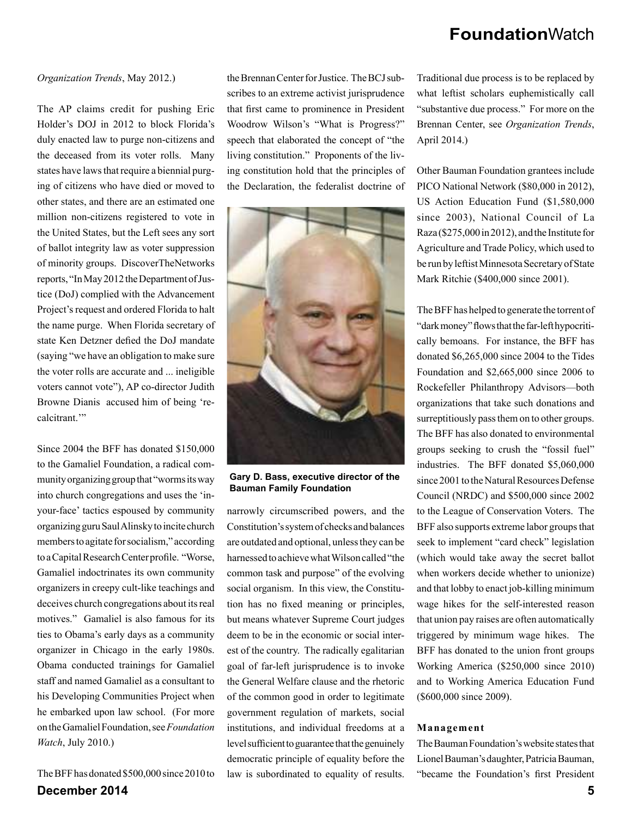#### *Organization Trends*, May 2012.)

The AP claims credit for pushing Eric Holder's DOJ in 2012 to block Florida's duly enacted law to purge non-citizens and the deceased from its voter rolls. Many states have laws that require a biennial purging of citizens who have died or moved to other states, and there are an estimated one million non-citizens registered to vote in the United States, but the Left sees any sort of ballot integrity law as voter suppression of minority groups. DiscoverTheNetworks reports, "In May 2012 the Department of Justice (DoJ) complied with the Advancement Project's request and ordered Florida to halt the name purge. When Florida secretary of state Ken Detzner defied the DoJ mandate (saying "we have an obligation to make sure the voter rolls are accurate and ... ineligible voters cannot vote"), AP co-director Judith Browne Dianis accused him of being 'recalcitrant<sup>"</sup>

Since 2004 the BFF has donated \$150,000 to the Gamaliel Foundation, a radical community organizing group that "worms its way into church congregations and uses the 'inyour-face' tactics espoused by community organizing guru Saul Alinsky to incite church members to agitate for socialism," according to a Capital Research Center profile. "Worse, Gamaliel indoctrinates its own community organizers in creepy cult-like teachings and deceives church congregations about its real motives." Gamaliel is also famous for its ties to Obama's early days as a community organizer in Chicago in the early 1980s. Obama conducted trainings for Gamaliel staff and named Gamaliel as a consultant to his Developing Communities Project when he embarked upon law school. (For more on the Gamaliel Foundation, see *Foundation Watch*, July 2010.)

**December 2014 5** The BFF has donated \$500,000 since 2010 to

the Brennan Center for Justice. The BCJ subscribes to an extreme activist jurisprudence that first came to prominence in President Woodrow Wilson's "What is Progress?" speech that elaborated the concept of "the living constitution." Proponents of the living constitution hold that the principles of the Declaration, the federalist doctrine of



**Gary D. Bass, executive director of the Bauman Family Foundation**

narrowly circumscribed powers, and the Constitution's system of checks and balances are outdated and optional, unless they can be harnessed to achieve what Wilson called "the common task and purpose" of the evolving social organism. In this view, the Constitution has no fixed meaning or principles, but means whatever Supreme Court judges deem to be in the economic or social interest of the country. The radically egalitarian goal of far-left jurisprudence is to invoke the General Welfare clause and the rhetoric of the common good in order to legitimate government regulation of markets, social institutions, and individual freedoms at a level sufficient to guarantee that the genuinely democratic principle of equality before the law is subordinated to equality of results.

Traditional due process is to be replaced by what leftist scholars euphemistically call "substantive due process." For more on the Brennan Center, see *Organization Trends*, April 2014.)

Other Bauman Foundation grantees include PICO National Network (\$80,000 in 2012), US Action Education Fund (\$1,580,000 since 2003), National Council of La Raza (\$275,000 in 2012), and the Institute for Agriculture and Trade Policy, which used to be run by leftist Minnesota Secretary of State Mark Ritchie (\$400,000 since 2001).

The BFF has helped to generate the torrent of "dark money" flows that the far-left hypocritically bemoans. For instance, the BFF has donated \$6,265,000 since 2004 to the Tides Foundation and \$2,665,000 since 2006 to Rockefeller Philanthropy Advisors—both organizations that take such donations and surreptitiously pass them on to other groups. The BFF has also donated to environmental groups seeking to crush the "fossil fuel" industries. The BFF donated \$5,060,000 since 2001 to the Natural Resources Defense Council (NRDC) and \$500,000 since 2002 to the League of Conservation Voters. The BFF also supports extreme labor groups that seek to implement "card check" legislation (which would take away the secret ballot when workers decide whether to unionize) and that lobby to enact job-killing minimum wage hikes for the self-interested reason that union pay raises are often automatically triggered by minimum wage hikes. The BFF has donated to the union front groups Working America (\$250,000 since 2010) and to Working America Education Fund (\$600,000 since 2009).

#### **Management**

The Bauman Foundation's website states that Lionel Bauman's daughter, Patricia Bauman, "became the Foundation's first President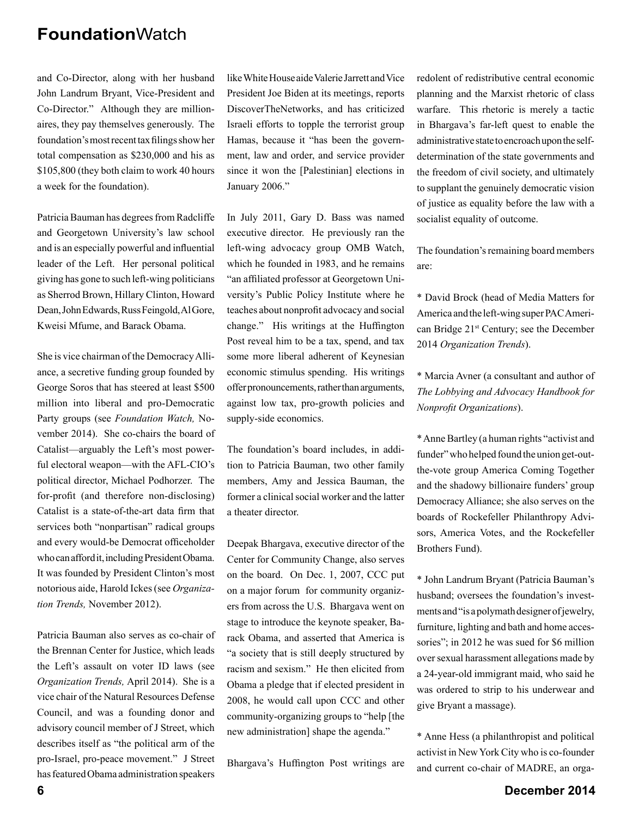and Co-Director, along with her husband John Landrum Bryant, Vice-President and Co-Director." Although they are millionaires, they pay themselves generously. The foundation's most recent tax filings show her total compensation as \$230,000 and his as \$105,800 (they both claim to work 40 hours a week for the foundation).

Patricia Bauman has degrees from Radcliffe and Georgetown University's law school and is an especially powerful and influential leader of the Left. Her personal political giving has gone to such left-wing politicians as Sherrod Brown, Hillary Clinton, Howard Dean, John Edwards, Russ Feingold, Al Gore, Kweisi Mfume, and Barack Obama.

She is vice chairman of the Democracy Alliance, a secretive funding group founded by George Soros that has steered at least \$500 million into liberal and pro-Democratic Party groups (see *Foundation Watch,* November 2014). She co-chairs the board of Catalist—arguably the Left's most powerful electoral weapon—with the AFL-CIO's political director, Michael Podhorzer. The for-profit (and therefore non-disclosing) Catalist is a state-of-the-art data firm that services both "nonpartisan" radical groups and every would-be Democrat officeholder who can afford it, including President Obama. It was founded by President Clinton's most notorious aide, Harold Ickes (see *Organization Trends,* November 2012).

Patricia Bauman also serves as co-chair of the Brennan Center for Justice, which leads the Left's assault on voter ID laws (see *Organization Trends,* April 2014). She is a vice chair of the Natural Resources Defense Council, and was a founding donor and advisory council member of J Street, which describes itself as "the political arm of the pro-Israel, pro-peace movement." J Street has featured Obama administration speakers like White House aide Valerie Jarrett and Vice President Joe Biden at its meetings, reports DiscoverTheNetworks, and has criticized Israeli efforts to topple the terrorist group Hamas, because it "has been the government, law and order, and service provider since it won the [Palestinian] elections in January 2006."

In July 2011, Gary D. Bass was named executive director. He previously ran the left-wing advocacy group OMB Watch, which he founded in 1983, and he remains "an affiliated professor at Georgetown University's Public Policy Institute where he teaches about nonprofit advocacy and social change." His writings at the Huffington Post reveal him to be a tax, spend, and tax some more liberal adherent of Keynesian economic stimulus spending. His writings offer pronouncements, rather than arguments, against low tax, pro-growth policies and supply-side economics.

The foundation's board includes, in addition to Patricia Bauman, two other family members, Amy and Jessica Bauman, the former a clinical social worker and the latter a theater director.

Deepak Bhargava, executive director of the Center for Community Change, also serves on the board. On Dec. 1, 2007, CCC put on a major forum for community organizers from across the U.S. Bhargava went on stage to introduce the keynote speaker, Barack Obama, and asserted that America is "a society that is still deeply structured by racism and sexism." He then elicited from Obama a pledge that if elected president in 2008, he would call upon CCC and other community-organizing groups to "help [the new administration] shape the agenda."

Bhargava's Huffington Post writings are

redolent of redistributive central economic planning and the Marxist rhetoric of class warfare. This rhetoric is merely a tactic in Bhargava's far-left quest to enable the administrative state to encroach upon the selfdetermination of the state governments and the freedom of civil society, and ultimately to supplant the genuinely democratic vision of justice as equality before the law with a socialist equality of outcome.

The foundation's remaining board members are:

\* David Brock (head of Media Matters for America and the left-wing super PAC American Bridge 21<sup>st</sup> Century; see the December 2014 *Organization Trends*).

\* Marcia Avner (a consultant and author of *The Lobbying and Advocacy Handbook for Nonprofi t Organizations*).

\* Anne Bartley (a human rights "activist and funder" who helped found the union get-outthe-vote group America Coming Together and the shadowy billionaire funders' group Democracy Alliance; she also serves on the boards of Rockefeller Philanthropy Advisors, America Votes, and the Rockefeller Brothers Fund).

\* John Landrum Bryant (Patricia Bauman's husband; oversees the foundation's investments and "is a polymath designer of jewelry, furniture, lighting and bath and home accessories"; in 2012 he was sued for \$6 million over sexual harassment allegations made by a 24-year-old immigrant maid, who said he was ordered to strip to his underwear and give Bryant a massage).

\* Anne Hess (a philanthropist and political activist in New York City who is co-founder and current co-chair of MADRE, an orga-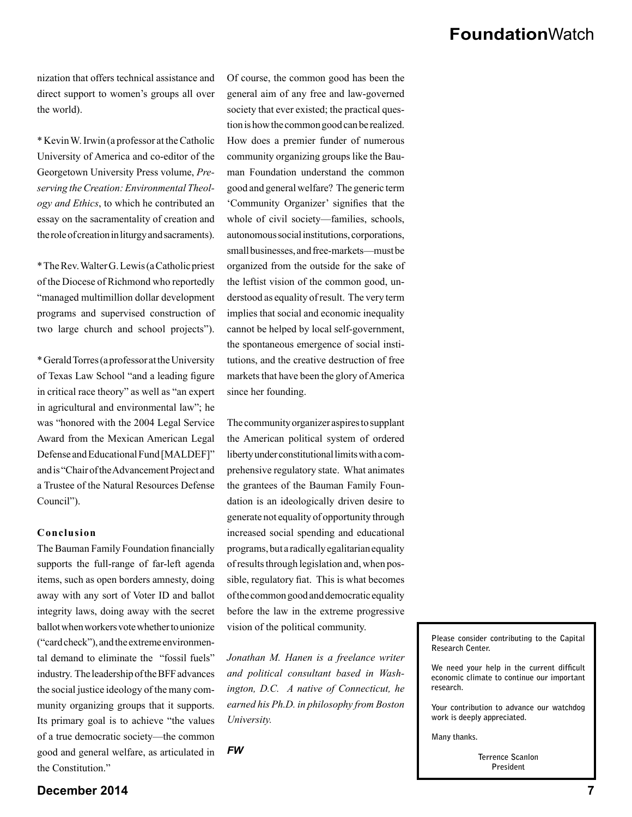nization that offers technical assistance and direct support to women's groups all over the world).

\* Kevin W. Irwin (a professor at the Catholic University of America and co-editor of the Georgetown University Press volume, *Preserving the Creation: Environmental Theology and Ethics*, to which he contributed an essay on the sacramentality of creation and the role of creation in liturgy and sacraments).

\* The Rev. Walter G. Lewis (a Catholic priest of the Diocese of Richmond who reportedly "managed multimillion dollar development programs and supervised construction of two large church and school projects").

\* Gerald Torres (a professor at the University of Texas Law School "and a leading figure in critical race theory" as well as "an expert in agricultural and environmental law"; he was "honored with the 2004 Legal Service Award from the Mexican American Legal Defense and Educational Fund [MALDEF]" and is "Chair of the Advancement Project and a Trustee of the Natural Resources Defense Council").

#### **Conclusion**

The Bauman Family Foundation financially supports the full-range of far-left agenda items, such as open borders amnesty, doing away with any sort of Voter ID and ballot integrity laws, doing away with the secret ballot when workers vote whether to unionize ("card check"), and the extreme environmental demand to eliminate the "fossil fuels" industry. The leadership of the BFF advances the social justice ideology of the many community organizing groups that it supports. Its primary goal is to achieve "the values of a true democratic society—the common good and general welfare, as articulated in the Constitution."

Of course, the common good has been the general aim of any free and law-governed society that ever existed; the practical question is how the common good can be realized. How does a premier funder of numerous community organizing groups like the Bauman Foundation understand the common good and general welfare? The generic term 'Community Organizer' signifies that the whole of civil society—families, schools, autonomous social institutions, corporations, small businesses, and free-markets—must be organized from the outside for the sake of the leftist vision of the common good, understood as equality of result. The very term implies that social and economic inequality cannot be helped by local self-government, the spontaneous emergence of social institutions, and the creative destruction of free markets that have been the glory of America since her founding.

The community organizer aspires to supplant the American political system of ordered liberty under constitutional limits with a comprehensive regulatory state. What animates the grantees of the Bauman Family Foundation is an ideologically driven desire to generate not equality of opportunity through increased social spending and educational programs, but a radically egalitarian equality of results through legislation and, when possible, regulatory fiat. This is what becomes of the common good and democratic equality before the law in the extreme progressive vision of the political community.

*Jonathan M. Hanen is a freelance writer and political consultant based in Washington, D.C. A native of Connecticut, he earned his Ph.D. in philosophy from Boston University.*

*FW*

**Please consider contributing to the Capital Research Center.**

We need your help in the current difficult **economic climate to continue our important research.** 

**Your contribution to advance our watchdog work is deeply appreciated.** 

**Many thanks.** 

**Terrence Scanlon President**

### **December 2014 7**